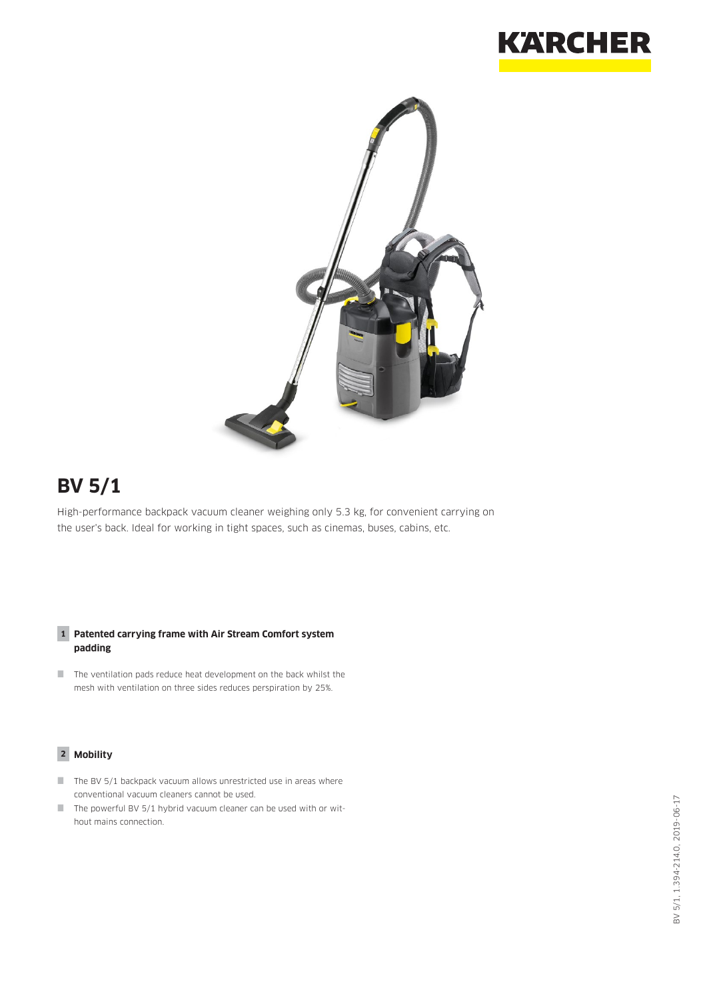



# **BV 5/1**

High-performance backpack vacuum cleaner weighing only 5.3 kg, for convenient carrying on the user's back. Ideal for working in tight spaces, such as cinemas, buses, cabins, etc.

#### **1 Patented carrying frame with Air Stream Comfort system padding**

 $\blacksquare$  The ventilation pads reduce heat development on the back whilst the mesh with ventilation on three sides reduces perspiration by 25%.

#### **2 Mobility**

- $\blacksquare$  The BV 5/1 backpack vacuum allows unrestricted use in areas where conventional vacuum cleaners cannot be used.
- $\blacksquare$  The powerful BV 5/1 hybrid vacuum cleaner can be used with or without mains connection.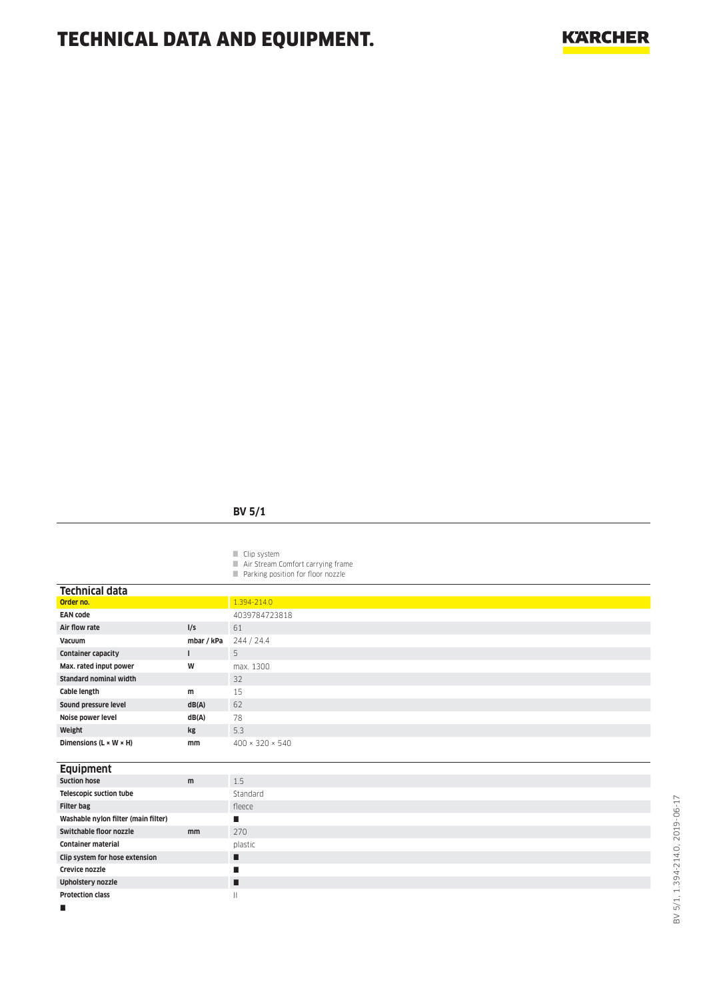## TECHNICAL DATA AND EQUIPMENT.

### **BV 5/1**

Clip system

- **Air Stream Comfort carrying frame**
- **Parking position for floor nozzle**

| <b>Technical data</b>                |              |                             |
|--------------------------------------|--------------|-----------------------------|
| Order no.                            |              | 1.394-214.0                 |
| <b>EAN code</b>                      |              | 4039784723818               |
| Air flow rate                        | I/S          | 61                          |
| Vacuum                               | mbar / kPa   | 244 / 24.4                  |
| <b>Container capacity</b>            | $\mathbf{I}$ | 5                           |
| Max. rated input power               | W            | max. 1300                   |
| <b>Standard nominal width</b>        |              | 32                          |
| Cable length                         | m            | 15                          |
| Sound pressure level                 | dB(A)        | 62                          |
| Noise power level                    | dB(A)        | 78                          |
| Weight                               | kg           | 5.3                         |
| Dimensions ( $L \times W \times H$ ) | mm           | $400 \times 320 \times 540$ |
|                                      |              |                             |
|                                      |              |                             |
| <b>Equipment</b>                     |              |                             |
| <b>Suction hose</b>                  | m            | 1.5                         |
| <b>Telescopic suction tube</b>       |              | Standard                    |
| <b>Filter bag</b>                    |              | fleece                      |
| Washable nylon filter (main filter)  |              | п                           |
| Switchable floor nozzle              | mm           | 270                         |
| <b>Container material</b>            |              | plastic                     |
| Clip system for hose extension       |              | п                           |
| Crevice nozzle                       |              | ■                           |
| <b>Upholstery nozzle</b>             |              | п                           |
| <b>Protection class</b>              |              | $\mathbf{  }$               |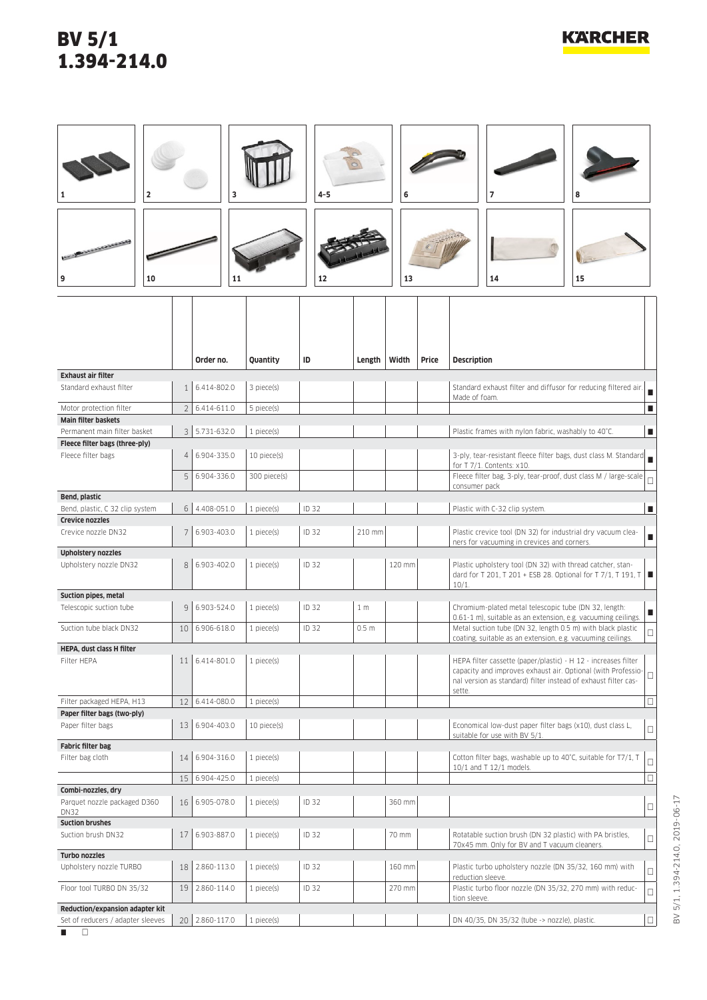## BV 5/1 1.394-214.0

| $\overline{\mathbf{2}}$                                              |                 | 3              |                 | $4 - 5$ |                  | 6      |       | 7<br>8                                                                                                                                                                                                     |                |
|----------------------------------------------------------------------|-----------------|----------------|-----------------|---------|------------------|--------|-------|------------------------------------------------------------------------------------------------------------------------------------------------------------------------------------------------------------|----------------|
| <b>CONTRACTOR</b><br>9<br>10                                         |                 | 11             |                 | 12      |                  | 13     |       | 14<br>15                                                                                                                                                                                                   |                |
|                                                                      |                 | Order no.      | Quantity        | ID      | Length           | Width  | Price | <b>Description</b>                                                                                                                                                                                         |                |
| <b>Exhaust air filter</b><br>Standard exhaust filter                 | 1 <sup>1</sup>  | 6.414-802.0    | 3 piece(s)      |         |                  |        |       | Standard exhaust filter and diffusor for reducing filtered air.                                                                                                                                            |                |
|                                                                      |                 |                |                 |         |                  |        |       | Made of foam.                                                                                                                                                                                              | $\blacksquare$ |
| Motor protection filter<br><b>Main filter baskets</b>                | 2               | 6.414-611.0    | 5 piece(s)      |         |                  |        |       |                                                                                                                                                                                                            | п              |
| Permanent main filter basket                                         |                 | 3 5.731-632.0  | 1 piece(s)      |         |                  |        |       | Plastic frames with nylon fabric, washably to 40°C.                                                                                                                                                        | п              |
| Fleece filter bags (three-ply)<br>Fleece filter bags                 | 4 <sup>1</sup>  | 6.904-335.0    | 10 piece(s)     |         |                  |        |       | 3-ply, tear-resistant fleece filter bags, dust class M. Standard                                                                                                                                           |                |
|                                                                      | 5               | 6.904-336.0    |                 |         |                  |        |       | for T 7/1. Contents: x10.<br>Fleece filter bag, 3-ply, tear-proof, dust class M / large-scale                                                                                                              |                |
|                                                                      |                 |                | 300 piece(s)    |         |                  |        |       | consumer pack                                                                                                                                                                                              | $\Box$         |
| Bend, plastic<br>Bend, plastic, C 32 clip system                     | 6 <sup>1</sup>  | 4.408-051.0    | 1 piece(s)      | ID 32   |                  |        |       | Plastic with C-32 clip system.                                                                                                                                                                             | п              |
| <b>Crevice nozzles</b>                                               |                 |                |                 |         |                  |        |       |                                                                                                                                                                                                            |                |
| Crevice nozzle DN32                                                  | 7               | 6.903-403.0    | 1 piece(s)      | ID 32   | 210 mm           |        |       | Plastic crevice tool (DN 32) for industrial dry vacuum clea-<br>ners for vacuuming in crevices and corners.                                                                                                | п              |
| <b>Upholstery nozzles</b>                                            |                 |                |                 |         |                  |        |       |                                                                                                                                                                                                            |                |
| Upholstery nozzle DN32                                               | 8               | 6.903-402.0    | 1 piece(s)      | ID 32   |                  | 120 mm |       | Plastic upholstery tool (DN 32) with thread catcher, stan-<br>dard for T 201, T 201 + ESB 28. Optional for T 7/1, T 191, T  ■                                                                              |                |
| Suction pipes, metal                                                 |                 |                |                 |         |                  |        |       | $10/1$ .                                                                                                                                                                                                   |                |
| Telescopic suction tube                                              | 9               | 6.903-524.0    | $1$ piece $(s)$ | ID 32   | 1 <sub>m</sub>   |        |       | Chromium-plated metal telescopic tube (DN 32, length:                                                                                                                                                      | ш              |
| Suction tube black DN32                                              | 10 <sup>1</sup> | 6.906-618.0    | 1 piece(s)      | ID 32   | 0.5 <sub>m</sub> |        |       | 0.61-1 m), suitable as an extension, e.g. vacuuming ceilings.<br>Metal suction tube (DN 32, length 0.5 m) with black plastic                                                                               | $\Box$         |
| HEPA, dust class H filter                                            |                 |                |                 |         |                  |        |       | coating, suitable as an extension, e.g. vacuuming ceilings.                                                                                                                                                |                |
| Filter HEPA                                                          |                 | 11 6.414-801.0 | 1 piece(s)      |         |                  |        |       | HEPA filter cassette (paper/plastic) - H 12 - increases filter<br>capacity and improves exhaust air. Optional (with Professio-<br>nal version as standard) filter instead of exhaust filter cas-<br>sette. | $\Box$         |
| Filter packaged HEPA, H13                                            | 12              | 6.414-080.0    | 1 piece(s)      |         |                  |        |       |                                                                                                                                                                                                            | $\Box$         |
| Paper filter bags (two-ply)<br>Paper filter bags                     | 13              | 6.904-403.0    | 10 piece(s)     |         |                  |        |       | Economical low-dust paper filter bags (x10), dust class L,                                                                                                                                                 | $\Box$         |
| <b>Fabric filter bag</b>                                             |                 |                |                 |         |                  |        |       | suitable for use with BV 5/1.                                                                                                                                                                              |                |
| Filter bag cloth                                                     | 14              | 6.904-316.0    | 1 piece(s)      |         |                  |        |       | Cotton filter bags, washable up to 40°C, suitable for T7/1, T<br>10/1 and T 12/1 models.                                                                                                                   | $\Box$         |
|                                                                      |                 | 15 6.904-425.0 | 1 piece(s)      |         |                  |        |       |                                                                                                                                                                                                            | $\Box$         |
| Combi-nozzles, dry<br>Parquet nozzle packaged D360                   | 16              | 6.905-078.0    | 1 piece(s)      | ID 32   |                  | 360 mm |       |                                                                                                                                                                                                            |                |
| <b>DN32</b>                                                          |                 |                |                 |         |                  |        |       |                                                                                                                                                                                                            | $\Box$         |
| <b>Suction brushes</b><br>Suction brush DN32                         | 17              | 6.903-887.0    | 1 piece(s)      | ID 32   |                  | 70 mm  |       | Rotatable suction brush (DN 32 plastic) with PA bristles,                                                                                                                                                  |                |
|                                                                      |                 |                |                 |         |                  |        |       | 70x45 mm. Only for BV and T vacuum cleaners.                                                                                                                                                               | $\Box$         |
| Turbo nozzles<br>Upholstery nozzle TURBO                             | 18              | 2.860-113.0    | 1 piece(s)      | ID 32   |                  | 160 mm |       | Plastic turbo upholstery nozzle (DN 35/32, 160 mm) with                                                                                                                                                    | $\Box$         |
| Floor tool TURBO DN 35/32                                            | 19              | 2.860-114.0    | 1 piece(s)      | ID 32   |                  | 270 mm |       | reduction sleeve.<br>Plastic turbo floor nozzle (DN 35/32, 270 mm) with reduc-                                                                                                                             |                |
|                                                                      |                 |                |                 |         |                  |        |       | tion sleeve.                                                                                                                                                                                               | $\Box$         |
| Reduction/expansion adapter kit<br>Set of reducers / adapter sleeves |                 | 20 2.860-117.0 | 1 piece(s)      |         |                  |        |       | DN 40/35, DN 35/32 (tube -> nozzle), plastic.                                                                                                                                                              | $\Box$         |